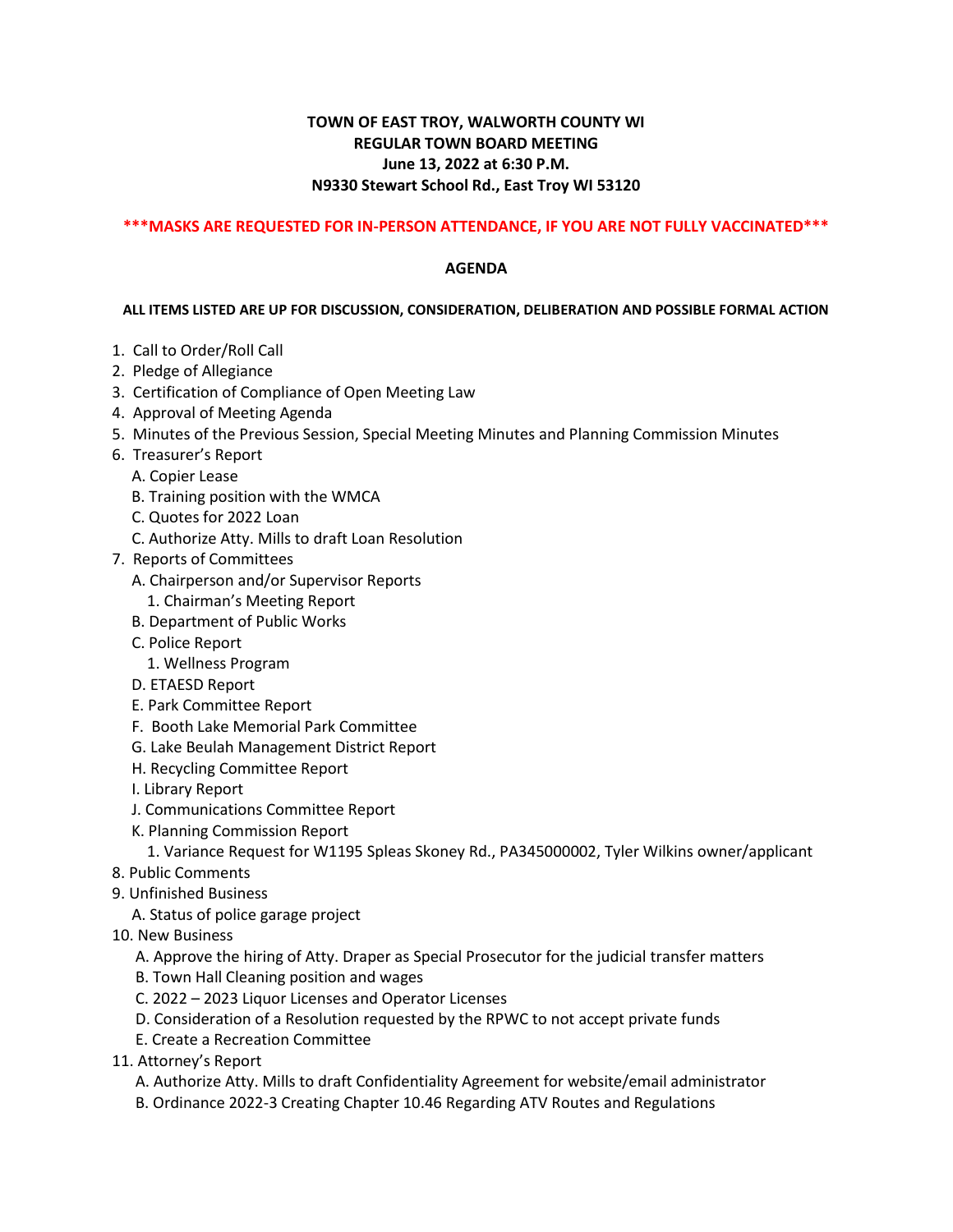## **TOWN OF EAST TROY, WALWORTH COUNTY WI REGULAR TOWN BOARD MEETING June 13, 2022 at 6:30 P.M. N9330 Stewart School Rd., East Troy WI 53120**

## **\*\*\*MASKS ARE REQUESTED FOR IN-PERSON ATTENDANCE, IF YOU ARE NOT FULLY VACCINATED\*\*\***

## **AGENDA**

## **ALL ITEMS LISTED ARE UP FOR DISCUSSION, CONSIDERATION, DELIBERATION AND POSSIBLE FORMAL ACTION**

- 1. Call to Order/Roll Call
- 2. Pledge of Allegiance
- 3. Certification of Compliance of Open Meeting Law
- 4. Approval of Meeting Agenda
- 5. Minutes of the Previous Session, Special Meeting Minutes and Planning Commission Minutes
- 6. Treasurer's Report
	- A. Copier Lease
	- B. Training position with the WMCA
	- C. Quotes for 2022 Loan
	- C. Authorize Atty. Mills to draft Loan Resolution
- 7. Reports of Committees
	- A. Chairperson and/or Supervisor Reports
		- 1. Chairman's Meeting Report
	- B. Department of Public Works
	- C. Police Report
	- 1. Wellness Program
	- D. ETAESD Report
	- E. Park Committee Report
	- F. Booth Lake Memorial Park Committee
	- G. Lake Beulah Management District Report
	- H. Recycling Committee Report
	- I. Library Report
	- J. Communications Committee Report
	- K. Planning Commission Report

1. Variance Request for W1195 Spleas Skoney Rd., PA345000002, Tyler Wilkins owner/applicant

- 8. Public Comments
- 9. Unfinished Business
	- A. Status of police garage project
- 10. New Business

A. Approve the hiring of Atty. Draper as Special Prosecutor for the judicial transfer matters

- B. Town Hall Cleaning position and wages
- C. 2022 2023 Liquor Licenses and Operator Licenses
- D. Consideration of a Resolution requested by the RPWC to not accept private funds
- E. Create a Recreation Committee
- 11. Attorney's Report
	- A. Authorize Atty. Mills to draft Confidentiality Agreement for website/email administrator
	- B. Ordinance 2022-3 Creating Chapter 10.46 Regarding ATV Routes and Regulations